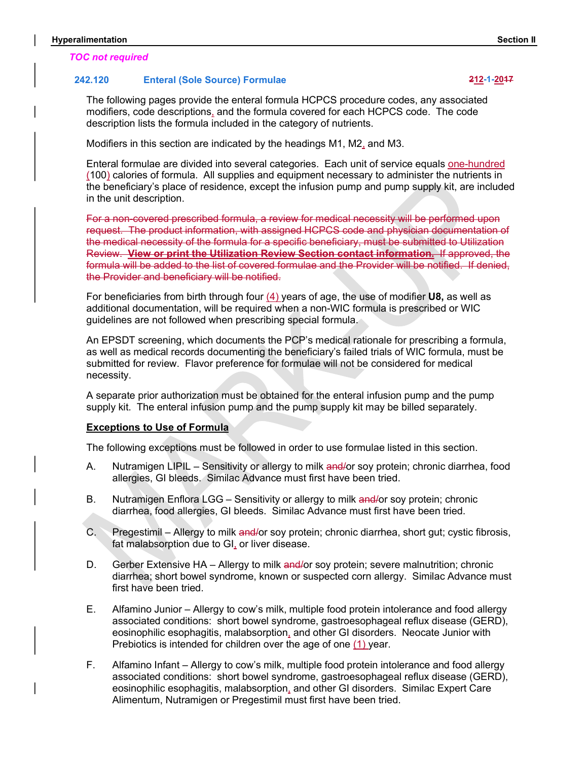#### TOC not required

#### 242.120 Enteral (Sole Source) Formulae 212-1-2017

Experimentation<br>
TOC not required<br>
242.120 Enteral (Sole Source) Formulae<br>
The following pages provide the enteral formula HCPCS procedure codes any associated<br>
The following pages provide the enteral formula HCPCS procedu The following pages provide the enteral formula HCPCS procedure codes, any associated modifiers, code descriptions, and the formula covered for each HCPCS code. The code description lists the formula included in the category of nutrients.

Modifiers in this section are indicated by the headings M1, M2, and M3.

Enteral formulae are divided into several categories. Each unit of service equals one-hundred (100) calories of formula. All supplies and equipment necessary to administer the nutrients in the beneficiary's place of residence, except the infusion pump and pump supply kit, are included in the unit description.

**For a non-covered prescribed formula, a review for medical necessity will be performed.**<br>The Formula and the service of the medical necessary and the formula covered for each HCPCS code. The code<br>modifiers, code descripti request. The product information, with assigned HCPCS code and physician documentation of the medical necessity of the formula for a specific beneficiary, must be submitted to Utilization Review. View or print the Utilization Review Section contact information. If approved, the formula will be added to the list of covered formulae and the Provider will be notified. If denied, the Provider and beneficiary will be notified.

For beneficiaries from birth through four  $(4)$  years of age, the use of modifier U8, as well as additional documentation, will be required when a non-WIC formula is prescribed or WIC guidelines are not followed when prescribing special formula.

An EPSDT screening, which documents the PCP's medical rationale for prescribing a formula, as well as medical records documenting the beneficiary's failed trials of WIC formula, must be submitted for review. Flavor preference for formulae will not be considered for medical necessity. Review. View or print the Utilization Review Section contact information, if approved, the<br>formula will be added to the Unit of every formula cand the Previder will be neitfied.<br>He Previder and beneficiary will be neitfied

A separate prior authorization must be obtained for the enteral infusion pump and the pump supply kit. The enteral infusion pump and the pump supply kit may be billed separately.

#### Exceptions to Use of Formula

The following exceptions must be followed in order to use formulae listed in this section.

- A. Nutramigen LIPIL Sensitivity or allergy to milk and/or soy protein; chronic diarrhea, food allergies, GI bleeds. Similac Advance must first have been tried.
- diarrhea, food allergies, GI bleeds. Similac Advance must first have been tried.
- C. Pregestimil Allergy to milk and/or soy protein; chronic diarrhea, short gut; cystic fibrosis, fat malabsorption due to GI, or liver disease.
- D. Gerber Extensive HA Allergy to milk and/or soy protein; severe malnutrition; chronic diarrhea; short bowel syndrome, known or suspected corn allergy. Similac Advance must first have been tried.
- submitted for review. Flavor preference for formulae will not be considered for medical<br>
A separate prior authorization must be obtained for the enteral infusion pump and the pump<br>
supply kit. The enteral infusion pump and associated conditions: short bowel syndrome, gastroesophageal reflux disease (GERD), eosinophilic esophagitis, malabsorption, and other GI disorders. Neocate Junior with Prebiotics is intended for children over the age of one (1) year.
- F. Alfamino Infant Allergy to cow's milk, multiple food protein intolerance and food allergy associated conditions: short bowel syndrome, gastroesophageal reflux disease (GERD), eosinophilic esophagitis, malabsorption, and other GI disorders. Similac Expert Care Alimentum, Nutramigen or Pregestimil must first have been tried.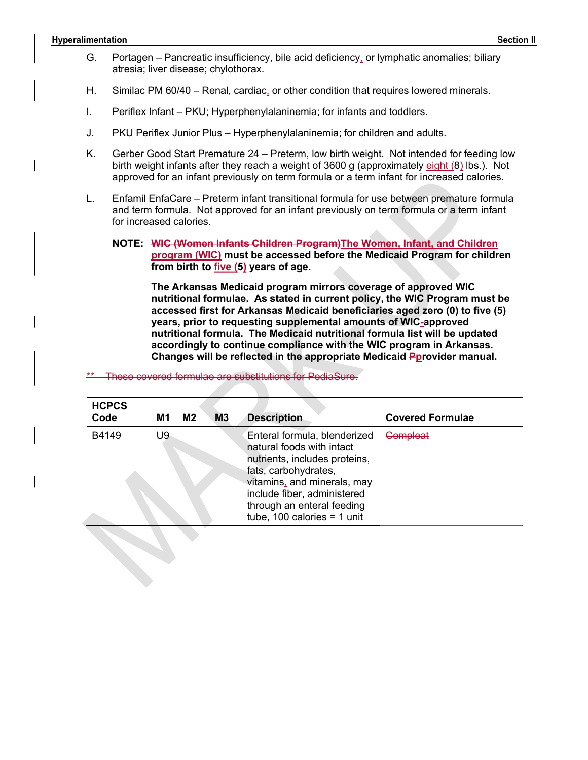- Fortagen Pancreatic insufficiency, bile acid deficiency, or lymphatic anomalies; biliary<br>G. Portagen Pancreatic insufficiency, bile acid deficiency, or lymphatic anomalies; biliary<br>atresia; liver disease; chylothorax. G. Portagen – Pancreatic insufficiency, bile acid deficiency, or lymphatic anomalies; biliary <u>ation</u><br>Portagen – Pancreatic insufficiency, bile acid deficiency, or lymphatic anomalie<br>atresia; liver disease; chylothorax.<br>Similac PM 60/40 – Renal, cardiac, or other condition that requires lowered min<br>Periflex Infant
	- H. Similac PM 60/40 Renal, cardiac, or other condition that requires lowered minerals.
	- I. Periflex Infant PKU; Hyperphenylalaninemia; for infants and toddlers.
	- J. PKU Periflex Junior Plus Hyperphenylalaninemia; for children and adults.
	- Summertation<br>
	Section II<br>
	atresia; liver disease; chylothorax.<br>
	H. Similac PM 60/40 Renal, cardiac, or other condition that requires lowered minerals.<br>
	Reriflex Infant PKU; Hyperphenylalaninemia; for infants and toddle birth weight infants after they reach a weight of 3600 g (approximately eight (8) lbs.). Not
	- **Section II**<br> **Portagen Pancreatic insufficiency, bile acid deficiency** or lymphatic anomalies; biliary<br>
	atresia; liver disease; chylothorax.<br>
	Similac PM 60/40 Renal, cardiac, or other condition that requires lowered m L. Enfamil EnfaCare – Preterm infant transitional formula for use between premature formula and term formula. Not approved for an infant previously on term formula or a term infant for increased calories.
		- NOTE: WIC (Women Infants Children Program)The Women, Infant, and Children program (WIC) must be accessed before the Medicaid Program for children from birth to  $five(5)$  years of age.

| L.    | for increased calories. |    |                |    | Enfamil EnfaCare – Preterm infant transitional formula for use between premature formula<br>and term formula. Not approved for an infant previously on term formula or a term infant                                                                                                                                                                                                                                                                                                                                                                                                       |                         |
|-------|-------------------------|----|----------------|----|--------------------------------------------------------------------------------------------------------------------------------------------------------------------------------------------------------------------------------------------------------------------------------------------------------------------------------------------------------------------------------------------------------------------------------------------------------------------------------------------------------------------------------------------------------------------------------------------|-------------------------|
|       |                         |    |                |    | NOTE: WIC (Women Infants Children Program) The Women, Infant, and Children<br>program (WIC) must be accessed before the Medicaid Program for children<br>from birth to five (5) years of age.                                                                                                                                                                                                                                                                                                                                                                                              |                         |
|       |                         |    |                |    | The Arkansas Medicaid program mirrors coverage of approved WIC<br>nutritional formulae. As stated in current policy, the WIC Program must be<br>accessed first for Arkansas Medicaid beneficiaries aged zero (0) to five (5)<br>years, prior to requesting supplemental amounts of WIC-approved<br>nutritional formula. The Medicaid nutritional formula list will be updated<br>accordingly to continue compliance with the WIC program in Arkansas.<br>Changes will be reflected in the appropriate Medicaid Pprovider manual.<br>These covered formulae are substitutions for PediaSure |                         |
| Code  | <b>HCPCS</b>            | M1 | M <sub>2</sub> | M3 | <b>Description</b>                                                                                                                                                                                                                                                                                                                                                                                                                                                                                                                                                                         | <b>Covered Formulae</b> |
| B4149 |                         | U9 |                |    | Enteral formula, blenderized<br>natural foods with intact                                                                                                                                                                                                                                                                                                                                                                                                                                                                                                                                  | Compleat                |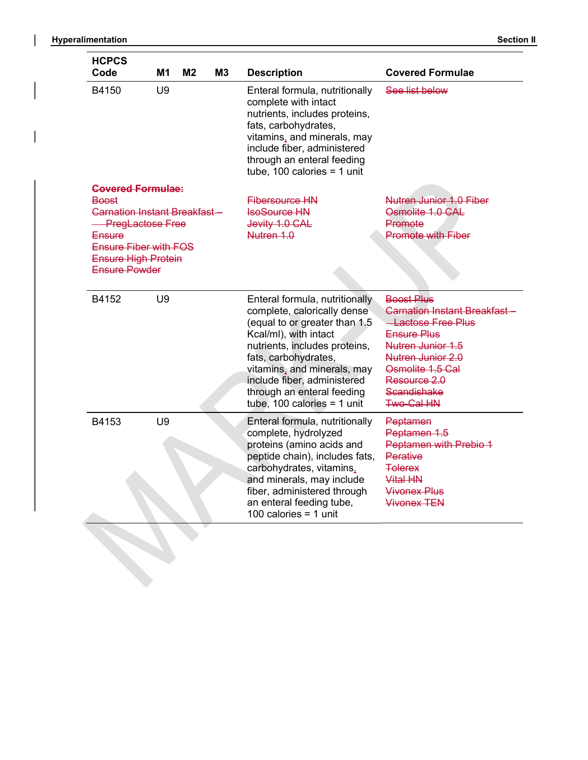| Hyperalimentation                                                                                                                                                               |                         |                |    |                                                                                                                                                                                                                                                                                                             | <b>Section II</b>                                                                                                                                                                                                                     |
|---------------------------------------------------------------------------------------------------------------------------------------------------------------------------------|-------------------------|----------------|----|-------------------------------------------------------------------------------------------------------------------------------------------------------------------------------------------------------------------------------------------------------------------------------------------------------------|---------------------------------------------------------------------------------------------------------------------------------------------------------------------------------------------------------------------------------------|
| <b>HCPCS</b><br>Code                                                                                                                                                            | <b>M1</b>               | M <sub>2</sub> | M3 | <b>Description</b>                                                                                                                                                                                                                                                                                          | <b>Covered Formulae</b>                                                                                                                                                                                                               |
| B4150                                                                                                                                                                           | U9                      |                |    | Enteral formula, nutritionally<br>complete with intact<br>nutrients, includes proteins,<br>fats, carbohydrates,<br>vitamins, and minerals, may<br>include fiber, administered<br>through an enteral feeding<br>tube, 100 calories = 1 unit                                                                  | See list below                                                                                                                                                                                                                        |
| <b>Covered Formulae:</b><br><b>Boost</b><br><b>Carnation Instant Breakfast-</b><br>Ensure<br><b>Ensure Fiber with FOS</b><br><b>Ensure High Protein</b><br><b>Ensure Powder</b> | <b>PregLactose Free</b> |                |    | <b>Fibersource HN</b><br><b>IsoSource HN</b><br>Jevity 1.0 CAL<br>Nutren 1.0                                                                                                                                                                                                                                | <b>Nutren Junior 1.0 Fiber</b><br>Osmolite 1.0 CAL<br>Promote<br><b>Promote with Fiber</b>                                                                                                                                            |
| B4152                                                                                                                                                                           | U9                      |                |    | Enteral formula, nutritionally<br>complete, calorically dense<br>(equal to or greater than 1.5<br>Kcal/ml), with intact<br>nutrients, includes proteins,<br>fats, carbohydrates,<br>vitamins, and minerals, may<br>include fiber, administered<br>through an enteral feeding<br>tube, 100 calories = 1 unit | <b>Boost Plus</b><br><b>Carnation Instant Breakfast</b> -<br><b>-Lactose Free Plus</b><br><b>Ensure Plus</b><br>Nutren Junior 1.5<br>Nutren Junior 2.0<br>Osmolite 1.5 Cal<br>Resource 2.0<br><b>Scandishake</b><br><b>Two-Cal HN</b> |
| B4153                                                                                                                                                                           | U9                      |                |    | Enteral formula, nutritionally<br>complete, hydrolyzed<br>proteins (amino acids and<br>peptide chain), includes fats,<br>carbohydrates, vitamins,<br>and minerals, may include<br>fiber, administered through<br>an enteral feeding tube,<br>100 calories = $1$ unit                                        | Peptamen<br>Peptamen 1.5<br>Peptamen with Prebio 1<br>Perative<br><b>Tolerex</b><br>Vital HN<br><b>Vivonex Plus</b><br><b>Vivonex TEN</b>                                                                                             |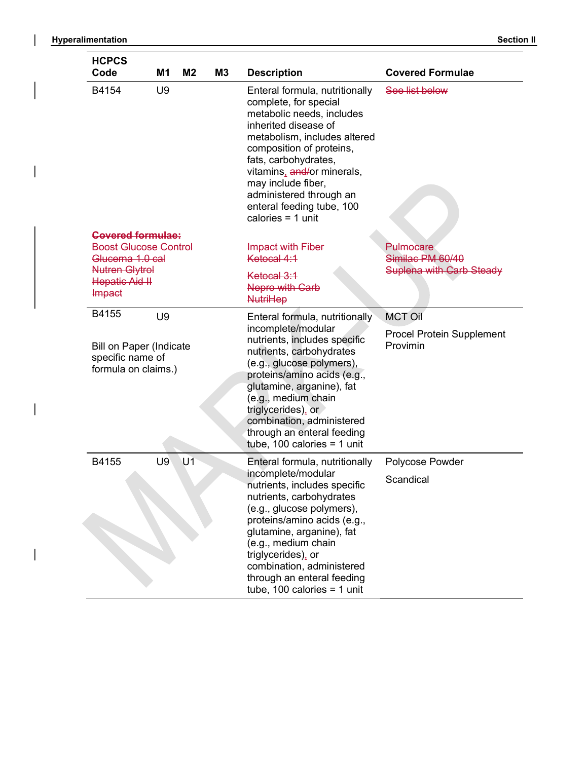| Hyperalimentation                                                                                                                        |                 |                |           |                                                                                                                                                                                                                                                                                                                                                           | <b>Section II</b>                                                       |
|------------------------------------------------------------------------------------------------------------------------------------------|-----------------|----------------|-----------|-----------------------------------------------------------------------------------------------------------------------------------------------------------------------------------------------------------------------------------------------------------------------------------------------------------------------------------------------------------|-------------------------------------------------------------------------|
| <b>HCPCS</b>                                                                                                                             |                 |                |           |                                                                                                                                                                                                                                                                                                                                                           |                                                                         |
| Code<br>B4154                                                                                                                            | <b>M1</b><br>U9 | M <sub>2</sub> | <b>M3</b> | <b>Description</b><br>Enteral formula, nutritionally<br>complete, for special<br>metabolic needs, includes<br>inherited disease of<br>metabolism, includes altered<br>composition of proteins,<br>fats, carbohydrates,<br>vitamins, and/or minerals,<br>may include fiber,<br>administered through an<br>enteral feeding tube, 100<br>calories $= 1$ unit | <b>Covered Formulae</b><br>See list below                               |
| <b>Covered formulae:</b><br><b>Boost Glucose Control</b><br>Glucerna 1.0 cal<br><b>Nutren Glytrol</b><br><b>Hepatic Aid II</b><br>Impact |                 |                |           | Impact with Fiber<br>Ketocal 4:1<br>Ketocal 3:1<br><b>Nepro with Carb</b><br><b>NutriHep</b>                                                                                                                                                                                                                                                              | <b>Pulmocare</b><br>Similac PM 60/40<br><b>Suplena with Carb Steady</b> |
| B4155<br>Bill on Paper (Indicate<br>specific name of<br>formula on claims.)                                                              | U9              |                |           | Enteral formula, nutritionally<br>incomplete/modular<br>nutrients, includes specific<br>nutrients, carbohydrates<br>(e.g., glucose polymers),<br>proteins/amino acids (e.g.,<br>glutamine, arganine), fat<br>(e.g., medium chain<br>triglycerides), or<br>combination, administered<br>through an enteral feeding<br>tube, 100 calories = 1 unit          | <b>MCT Oil</b><br>Procel Protein Supplement<br>Provimin                 |
| B4155                                                                                                                                    | U9              | U1             |           | Enteral formula, nutritionally<br>incomplete/modular<br>nutrients, includes specific<br>nutrients, carbohydrates<br>(e.g., glucose polymers),<br>proteins/amino acids (e.g.,<br>glutamine, arganine), fat<br>(e.g., medium chain<br>triglycerides), or<br>combination, administered<br>through an enteral feeding<br>tube, 100 calories = 1 unit          | Polycose Powder<br>Scandical                                            |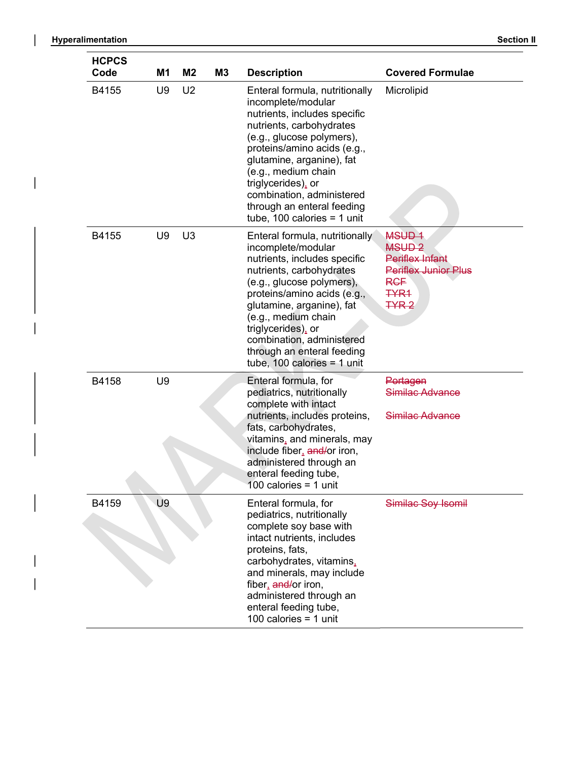| Hyperalimentation<br><b>HCPCS</b> |          |                                  |           |                                                                                                                                                                                                                                                                                                                                                                        |                                                                                                                                                  | <b>Section II</b> |
|-----------------------------------|----------|----------------------------------|-----------|------------------------------------------------------------------------------------------------------------------------------------------------------------------------------------------------------------------------------------------------------------------------------------------------------------------------------------------------------------------------|--------------------------------------------------------------------------------------------------------------------------------------------------|-------------------|
| Code<br>B4155                     | M1<br>U9 | M <sub>2</sub><br>U <sub>2</sub> | <b>M3</b> | <b>Description</b><br>Enteral formula, nutritionally<br>incomplete/modular<br>nutrients, includes specific<br>nutrients, carbohydrates<br>(e.g., glucose polymers),<br>proteins/amino acids (e.g.,<br>glutamine, arganine), fat<br>(e.g., medium chain<br>triglycerides), or<br>combination, administered<br>through an enteral feeding<br>tube, 100 calories = 1 unit | <b>Covered Formulae</b><br>Microlipid                                                                                                            |                   |
| B4155                             | U9       | U <sub>3</sub>                   |           | Enteral formula, nutritionally<br>incomplete/modular<br>nutrients, includes specific<br>nutrients, carbohydrates<br>(e.g., glucose polymers),<br>proteins/amino acids (e.g.,<br>glutamine, arganine), fat<br>(e.g., medium chain<br>triglycerides), or<br>combination, administered<br>through an enteral feeding<br>tube, 100 calories = 1 unit                       | MSUD <sub>1</sub><br>MSUD <sub>2</sub><br><b>Periflex Infant</b><br><b>Periflex Junior Plus</b><br><b>RGF</b><br><b>TYR1</b><br>TYR <sub>2</sub> |                   |
| B4158                             | U9       |                                  |           | Enteral formula, for<br>pediatrics, nutritionally<br>complete with intact<br>nutrients, includes proteins,<br>fats, carbohydrates,<br>vitamins, and minerals, may<br>include fiber, and/or iron,<br>administered through an<br>enteral feeding tube,<br>100 calories = $1$ unit                                                                                        | Portagen<br>Similac Advance<br>Similac Advance                                                                                                   |                   |
| B4159                             | U9       |                                  |           | Enteral formula, for<br>pediatrics, nutritionally<br>complete soy base with<br>intact nutrients, includes<br>proteins, fats,<br>carbohydrates, vitamins,<br>and minerals, may include<br>fiber, and/or iron,<br>administered through an<br>enteral feeding tube,<br>100 calories = $1$ unit                                                                            | Similac Soy Isomil                                                                                                                               |                   |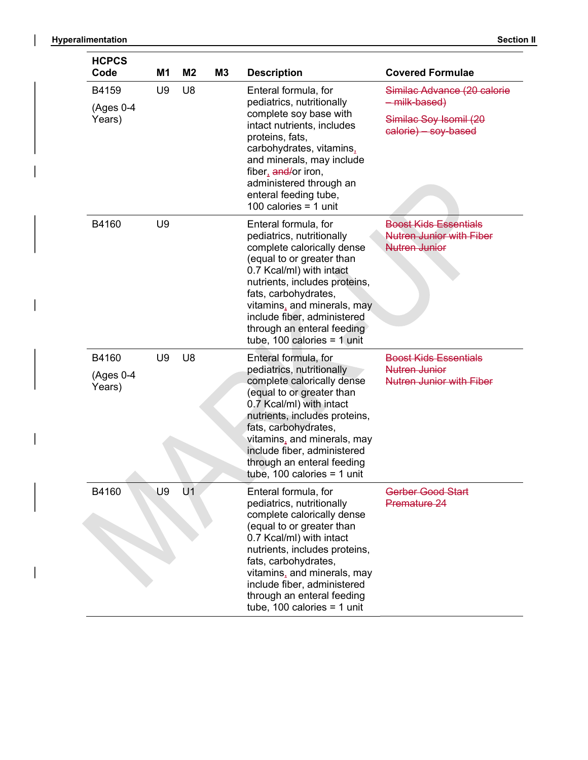$\overline{\phantom{a}}$ 

| Hyperalimentation                       |                 |                      |    |                                                                                                                                                                                                                                                                                                                                |                                                                                                                          |
|-----------------------------------------|-----------------|----------------------|----|--------------------------------------------------------------------------------------------------------------------------------------------------------------------------------------------------------------------------------------------------------------------------------------------------------------------------------|--------------------------------------------------------------------------------------------------------------------------|
| <b>HCPCS</b>                            |                 |                      |    |                                                                                                                                                                                                                                                                                                                                | <b>Section II</b>                                                                                                        |
| Code<br>B4159<br>$(Ages 0-4)$<br>Years) | <b>M1</b><br>U9 | M <sub>2</sub><br>U8 | M3 | <b>Description</b><br>Enteral formula, for<br>pediatrics, nutritionally<br>complete soy base with<br>intact nutrients, includes<br>proteins, fats,<br>carbohydrates, vitamins,<br>and minerals, may include<br>fiber, and/or iron,<br>administered through an<br>enteral feeding tube,<br>100 calories = $1$ unit              | <b>Covered Formulae</b><br>Similac Advance (20 calorie<br>-milk-based)<br>Similac Soy Isomil (20<br>calorie) - soy-based |
| B4160                                   | U9              |                      |    | Enteral formula, for<br>pediatrics, nutritionally<br>complete calorically dense<br>(equal to or greater than<br>0.7 Kcal/ml) with intact<br>nutrients, includes proteins,<br>fats, carbohydrates,<br>vitamins, and minerals, may<br>include fiber, administered<br>through an enteral feeding<br>tube, 100 calories = $1$ unit | <b>Boost Kids Essentials</b><br><b>Nutren Junior with Fiber</b><br><b>Nutren Junior</b>                                  |
| B4160<br>(Ages 0-4<br>Years)            | U9              | U <sub>8</sub>       |    | Enteral formula, for<br>pediatrics, nutritionally<br>complete calorically dense<br>(equal to or greater than<br>0.7 Kcal/ml) with intact<br>nutrients, includes proteins,<br>fats, carbohydrates,<br>vitamins, and minerals, may<br>include fiber, administered<br>through an enteral feeding<br>tube, 100 calories = 1 unit   | <b>Boost Kids Essentials</b><br><b>Nutren Junior</b><br><b>Nutren Junior with Fiber</b>                                  |
| B4160                                   | U9              | U1                   |    | Enteral formula, for<br>pediatrics, nutritionally<br>complete calorically dense<br>(equal to or greater than<br>0.7 Kcal/ml) with intact<br>nutrients, includes proteins,<br>fats, carbohydrates,<br>vitamins, and minerals, may<br>include fiber, administered<br>through an enteral feeding<br>tube, 100 calories = 1 unit   | Gerber Good Start<br>Premature 24                                                                                        |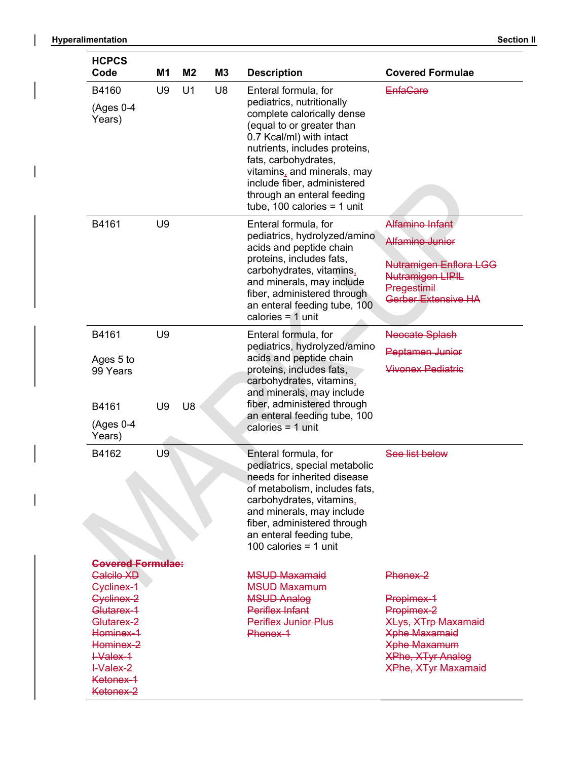| Hyperalimentation |  |
|-------------------|--|
|-------------------|--|

| Hyperalimentation                      |           |                |           |                                                                                                                                                                                                                                                                                                                              |                                                                                                                               |
|----------------------------------------|-----------|----------------|-----------|------------------------------------------------------------------------------------------------------------------------------------------------------------------------------------------------------------------------------------------------------------------------------------------------------------------------------|-------------------------------------------------------------------------------------------------------------------------------|
|                                        |           |                |           |                                                                                                                                                                                                                                                                                                                              | <b>Section II</b>                                                                                                             |
| <b>HCPCS</b><br>Code                   | <b>M1</b> | M <sub>2</sub> | <b>M3</b> | <b>Description</b>                                                                                                                                                                                                                                                                                                           | <b>Covered Formulae</b>                                                                                                       |
| B4160<br>$(Ages 0-4)$<br>Years)        | U9        | U1             | U8        | Enteral formula, for<br>pediatrics, nutritionally<br>complete calorically dense<br>(equal to or greater than<br>0.7 Kcal/ml) with intact<br>nutrients, includes proteins,<br>fats, carbohydrates,<br>vitamins, and minerals, may<br>include fiber, administered<br>through an enteral feeding<br>tube, 100 calories = 1 unit | <b>EnfaCare</b>                                                                                                               |
| B4161                                  | U9        |                |           | Enteral formula, for<br>pediatrics, hydrolyzed/amino<br>acids and peptide chain<br>proteins, includes fats,<br>carbohydrates, vitamins,<br>and minerals, may include<br>fiber, administered through<br>an enteral feeding tube, 100<br>calories $= 1$ unit                                                                   | Alfamino Infant<br><b>Alfamino Junior</b><br>Nutramigen Enflora LGG<br>Nutramigen LIPIL<br>Pregestimil<br>Gerber Extensive HA |
| B4161                                  | U9        |                |           | Enteral formula, for                                                                                                                                                                                                                                                                                                         | <b>Neocate Splash</b>                                                                                                         |
| Ages 5 to<br>99 Years                  |           |                |           | pediatrics, hydrolyzed/amino<br>acids and peptide chain<br>proteins, includes fats,<br>carbohydrates, vitamins,<br>and minerals, may include                                                                                                                                                                                 | Peptamen Junior<br><b>Vivonex Pediatric</b>                                                                                   |
| B4161<br>$(Ages 0-4)$<br>Years)        | U9        | U8             |           | fiber, administered through<br>an enteral feeding tube, 100<br>calories = $1$ unit                                                                                                                                                                                                                                           |                                                                                                                               |
| B4162                                  | U9        |                |           | Enteral formula, for<br>pediatrics, special metabolic<br>needs for inherited disease<br>of metabolism, includes fats,<br>carbohydrates, vitamins,<br>and minerals, may include<br>fiber, administered through<br>an enteral feeding tube,<br>100 calories = $1$ unit                                                         | See list below                                                                                                                |
| <b>Covered Formulae:</b><br>Calcilo XD |           |                |           | <b>MSUD Maxamaid</b>                                                                                                                                                                                                                                                                                                         | Phenex-2                                                                                                                      |
| Cyclinex-1                             |           |                |           | <b>MSUD Maxamum</b>                                                                                                                                                                                                                                                                                                          |                                                                                                                               |
| Cyclinex-2<br>Glutarex-1               |           |                |           | <b>MSUD Analog</b><br><b>Periflex Infant</b>                                                                                                                                                                                                                                                                                 | Propimex-1<br>Propimex-2                                                                                                      |
| Glutarex-2                             |           |                |           | <b>Periflex Junior Plus</b>                                                                                                                                                                                                                                                                                                  | <b>XLys, XTrp Maxamaid</b>                                                                                                    |
| Hominex-1<br>Hominex-2                 |           |                |           | Phenex-1                                                                                                                                                                                                                                                                                                                     | <b>Xphe Maxamaid</b><br><b>Xphe Maxamum</b>                                                                                   |
| <b>+Valex-1</b>                        |           |                |           |                                                                                                                                                                                                                                                                                                                              | XPhe, XTyr Analog                                                                                                             |
| <b>+Valex-2</b>                        |           |                |           |                                                                                                                                                                                                                                                                                                                              | <b>XPhe, XTyr Maxamaid</b>                                                                                                    |
| Ketonex-1<br>Ketonex-2                 |           |                |           |                                                                                                                                                                                                                                                                                                                              |                                                                                                                               |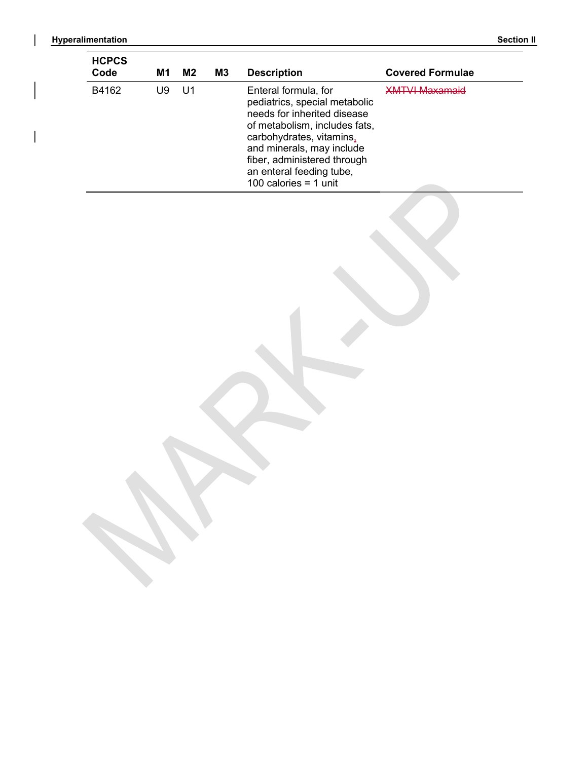$\overline{\phantom{a}}$ 

| Hyperalimentation<br><b>Section II</b> |       |    |    |                                                                                                                                                   |                       |
|----------------------------------------|-------|----|----|---------------------------------------------------------------------------------------------------------------------------------------------------|-----------------------|
| <b>HCPCS</b>                           |       |    |    |                                                                                                                                                   |                       |
|                                        | B4162 | U9 | U1 | Enteral formula, for<br>pediatrics, special metabolic<br>needs for inherited disease<br>of metabolism, includes fats,<br>carbohydrates, vitamins, | <b>XMTVI Maxamaid</b> |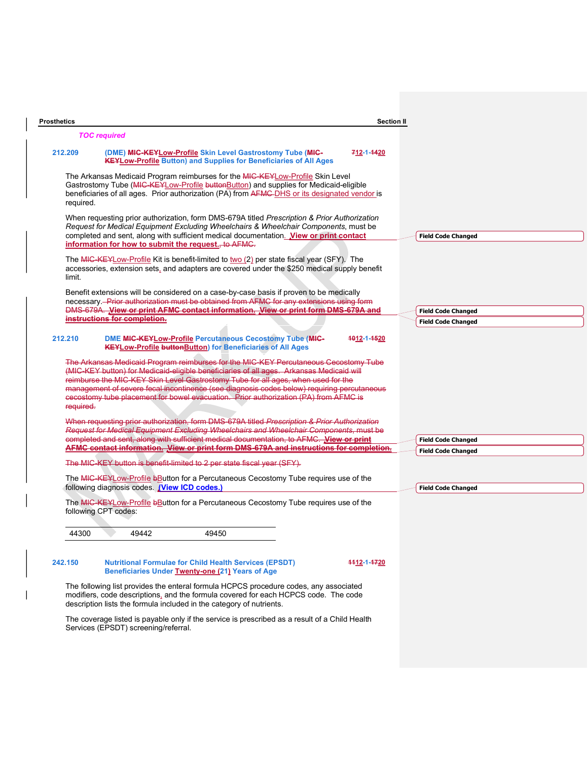| <b>Prosthetics</b>                                                                                                                                                                                                                                                                                                                     | <b>Section II</b>         |
|----------------------------------------------------------------------------------------------------------------------------------------------------------------------------------------------------------------------------------------------------------------------------------------------------------------------------------------|---------------------------|
| <b>TOC required</b>                                                                                                                                                                                                                                                                                                                    |                           |
| 212.209<br>(DME) MIC-KEYLow-Profile Skin Level Gastrostomy Tube (MIC-<br><b>KEYLow-Profile Button) and Supplies for Beneficiaries of All Ages</b>                                                                                                                                                                                      | 712-1-4420                |
| The Arkansas Medicaid Program reimburses for the MIC-KEYLow-Profile Skin Level<br>Gastrostomy Tube (MIC-KEYLow-Profile buttonButton) and supplies for Medicaid-eligible<br>beneficiaries of all ages. Prior authorization (PA) from AFMC-DHS or its designated vendor is<br>required.                                                  |                           |
| When requesting prior authorization, form DMS-679A titled Prescription & Prior Authorization<br>Request for Medical Equipment Excluding Wheelchairs & Wheelchair Components, must be<br>completed and sent, along with sufficient medical documentation. View or print contact<br>information for how to submit the request., to AFMG. | <b>Field Code Changed</b> |
| The MIC-KEYLow-Profile Kit is benefit-limited to two (2) per state fiscal year (SFY). The<br>accessories, extension sets, and adapters are covered under the \$250 medical supply benefit<br>limit.                                                                                                                                    |                           |
| Benefit extensions will be considered on a case-by-case basis if proven to be medically<br>necessary. Prior authorization must be obtained from AFMC for any extensions using form<br>DMS-679A. View or print AFMC contact information. View or print form DMS-679A and                                                                | <b>Field Code Changed</b> |
| instructions for completion.                                                                                                                                                                                                                                                                                                           | <b>Field Code Changed</b> |
| 212.210<br><b>DME MIC-KEYLow-Profile Percutaneous Cecostomy Tube (MIC-</b><br><b>KEYLow-Profile buttonButton) for Beneficiaries of All Ages</b>                                                                                                                                                                                        | 4012-1-4520               |
| The Arkansas Medicaid Program reimburses for the MIC-KEY Percutaneous Cecostomy Tube<br>(MIC-KEY button) for Medicaid-eligible beneficiaries of all ages. Arkansas Medicaid will<br>reimburse the MIC-KEY Skin Level Gastrostomy Tube for all ages, when used for the                                                                  |                           |
| management of severe fecal incontinence (see diagnosis codes below) requiring percutaneous<br>cecostomy tube placement for bowel evacuation. Prior authorization (PA) from AFMC is<br>required.                                                                                                                                        |                           |
| When requesting prior authorization, form DMS 679A titled Prescription & Prior Authorization<br>Request for Medical Equipment Excluding Wheelchairs and Wheelchair Components, must be<br>completed and sent, along with sufficient medical documentation, to AFMC. View or print                                                      | <b>Field Code Changed</b> |
| AFMC contact information. View or print form DMS-679A and instructions for completion.                                                                                                                                                                                                                                                 | <b>Field Code Changed</b> |
| The MIC-KEY button is benefit-limited to 2 per state fiscal year (SFY).                                                                                                                                                                                                                                                                |                           |
| The MIC-KEYLow-Profile bButton for a Percutaneous Cecostomy Tube requires use of the<br>following diagnosis codes (View ICD codes.)                                                                                                                                                                                                    | <b>Field Code Changed</b> |
| The MIC-KEYLow-Profile bButton for a Percutaneous Cecostomy Tube requires use of the<br>following CPT codes:                                                                                                                                                                                                                           |                           |
| 44300<br>49442<br>49450                                                                                                                                                                                                                                                                                                                |                           |
| 242.150<br><b>Nutritional Formulae for Child Health Services (EPSDT)</b><br>Beneficiaries Under Twenty-one (21) Years of Age<br>The following list provides the enteral formula HCPCS procedure codes, any associated                                                                                                                  | 4412-1-4720               |

description lists the formula included in the category of nutrients. The coverage listed is payable only if the service is prescribed as a result of a Child Health Services (EPSDT) screening/referral.

 $\overline{\phantom{a}}$ 

modifiers, code descriptions, and the formula covered for each HCPCS code. The code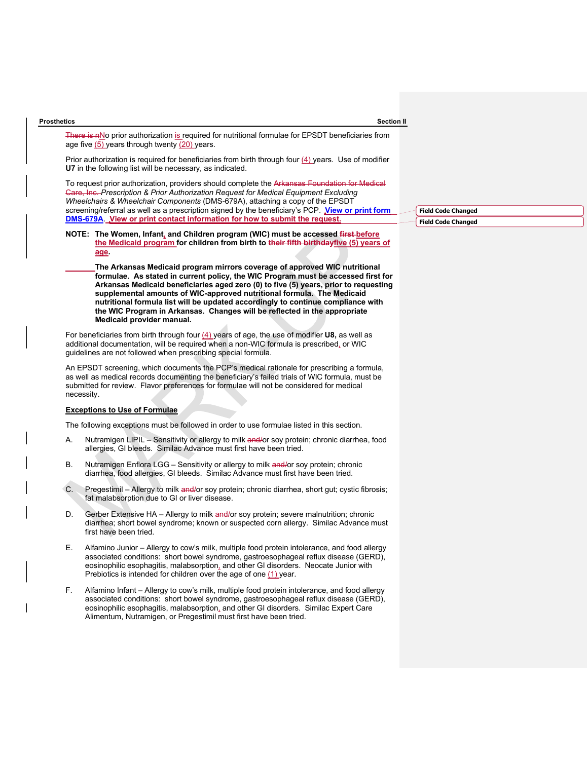There is nNo prior authorization is required for nutritional formulae for EPSDT beneficiaries from age five (5) years through twenty (20) years.

Prior authorization is required for beneficiaries from birth through four  $(4)$  years. Use of modifier U7 in the following list will be necessary, as indicated.

To request prior authorization, providers should complete the Arkansas Foundation for Care, Inc. Prescription & Prior Authorization Request for Medical Equipment Excluding Wheelchairs & Wheelchair Components (DMS-679A), attaching a copy of the EPSDT screening/referral as well as a prescription signed by the beneficiary's PCP. View or print form DMS-679A. View or print contact information for how to submit the request.

- NOTE: The Women, Infant, and Children program (WIC) must be accessed first-before the Medicaid program for children from birth to their fifth birthdayfive (5) years of age.<br>The Arkansas Medicaid program mirrors coverage of approved WIC nutritional
	- formulae. As stated in current policy, the WIC Program must be accessed first for Arkansas Medicaid beneficiaries aged zero (0) to five (5) years, prior to requesting supplemental amounts of WIC-approved nutritional formula. The Medicaid nutritional formula list will be updated accordingly to continue compliance with the WIC Program in Arkansas. Changes will be reflected in the appropriate Medicaid provider manual.

For beneficiaries from birth through four  $(4)$  years of age, the use of modifier U8, as well as additional documentation, will be required when a non-WIC formula is prescribed, or WIC guidelines are not followed when prescribing special formula.

An EPSDT screening, which documents the PCP's medical rationale for prescribing a formula, as well as medical records documenting the beneficiary's failed trials of WIC formula, must be submitted for review. Flavor preferences for formulae will not be considered for medical necessity.

#### Exceptions to Use of Formulae

The following exceptions must be followed in order to use formulae listed in this section.

- A. Nutramigen LIPIL Sensitivity or allergy to milk and/or soy protein; chronic diarrhea, food allergies, GI bleeds. Similac Advance must first have been tried.
- B. Nutramigen Enflora LGG Sensitivity or allergy to milk and/or soy protein; chronic diarrhea, food allergies, GI bleeds. Similac Advance must first have been tried.
- C. Pregestimil Allergy to milk and/or soy protein; chronic diarrhea, short gut; cystic fibrosis; fat malabsorption due to GI or liver disease.
- D. Gerber Extensive HA Allergy to milk and/or soy protein; severe malnutrition; chronic diarrhea; short bowel syndrome; known or suspected corn allergy. Similac Advance must first have been tried.
- E. Alfamino Junior Allergy to cow's milk, multiple food protein intolerance, and food allergy associated conditions: short bowel syndrome, gastroesophageal reflux disease (GERD), eosinophilic esophagitis, malabsorption, and other GI disorders. Neocate Junior with Prebiotics is intended for children over the age of one  $(1)$  year.
- F. Alfamino Infant Allergy to cow's milk, multiple food protein intolerance, and food allergy associated conditions: short bowel syndrome, gastroesophageal reflux disease (GERD), eosinophilic esophagitis, malabsorption, and other GI disorders. Similac Expert Care Alimentum, Nutramigen, or Pregestimil must first have been tried.

Field Code Changed Field Code Changed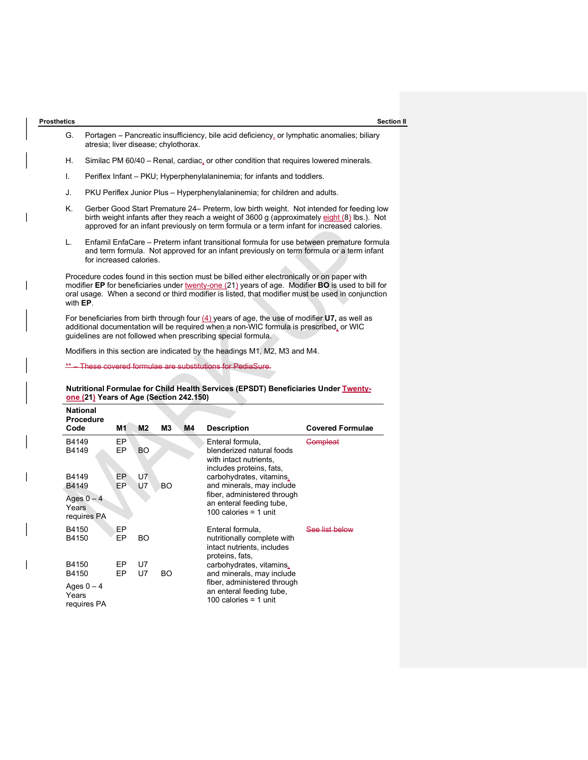National

- G. Portagen Pancreatic insufficiency, bile acid deficiency, or lymphatic anomalies; biliary atresia; liver disease; chylothorax.
- H. Similac PM 60/40 Renal, cardiac, or other condition that requires lowered minerals.
- I. Periflex Infant PKU; Hyperphenylalaninemia; for infants and toddlers.
- J. PKU Periflex Junior Plus Hyperphenylalaninemia; for children and adults.
- K. Gerber Good Start Premature 24– Preterm, low birth weight. Not intended for feeding low birth weight infants after they reach a weight of 3600 g (approximately eight (8) lbs.). Not approved for an infant previously on term formula or a term infant for increased calories.
- L. Enfamil EnfaCare Preterm infant transitional formula for use between premature formula and term formula. Not approved for an infant previously on term formula or a term infant for increased calories.

Procedure codes found in this section must be billed either electronically or on paper with modifier EP for beneficiaries under twenty-one (21) years of age. Modifier BO is used to bill for oral usage. When a second or third modifier is listed, that modifier must be used in conjunction with EP.

For beneficiaries from birth through four  $(4)$  years of age, the use of modifier U7, as well as additional documentation will be required when a non-WIC formula is prescribed, or WIC guidelines are not followed when prescribing special formula.

Modifiers in this section are indicated by the headings M1, M2, M3 and M4.

\*\* – These covered formulae are substitutions for PediaSure.

#### Nutritional Formulae for Child Health Services (EPSDT) Beneficiaries Under Twentyone (21) Years of Age (Section 242.150)

| <b>Procedure</b>                     |          |                |     |    |                                                                                                  |                         |
|--------------------------------------|----------|----------------|-----|----|--------------------------------------------------------------------------------------------------|-------------------------|
| Code                                 | M1       | M <sub>2</sub> | M3  | M4 | <b>Description</b>                                                                               | <b>Covered Formulae</b> |
| B4149                                | EP       |                |     |    | Enteral formula,                                                                                 | <del>Compleat</del>     |
| B4149                                | EP       | <b>BO</b>      |     |    | blenderized natural foods<br>with intact nutrients,<br>includes proteins, fats,                  |                         |
| B4149<br>B4149                       | EP<br>EP | U7<br>U7       | BO  |    | carbohydrates, vitamins,<br>and minerals, may include                                            |                         |
| Ages $0 - 4$<br>Years<br>requires PA |          |                |     |    | fiber, administered through<br>an enteral feeding tube,<br>100 calories = 1 unit                 |                         |
| B4150<br>B4150                       | EP<br>EP | BO.            |     |    | Enteral formula.<br>nutritionally complete with<br>intact nutrients, includes<br>proteins, fats, | ee list below           |
| B4150                                | EP       | U7             |     |    | carbohydrates, vitamins,                                                                         |                         |
| B4150                                | EP       | U7             | BO. |    | and minerals, may include                                                                        |                         |
| Ages $0 - 4$<br>Years<br>requires PA |          |                |     |    | fiber, administered through<br>an enteral feeding tube,<br>100 calories = 1 unit                 |                         |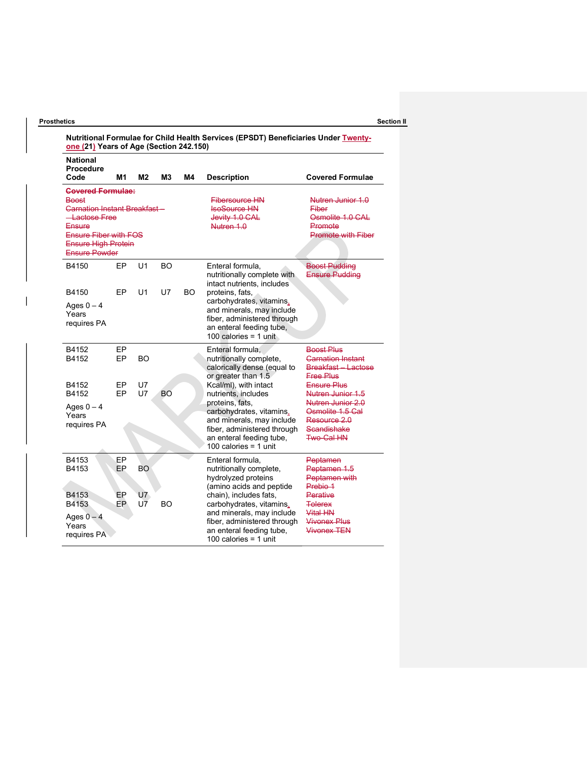| <b>National</b><br><b>Procedure</b><br>Code                                                                                                                                                             | M1             | M <sub>2</sub>  | M <sub>3</sub> | M4  | <b>Description</b>                                                                                                                                                                                             | <b>Covered Formulae</b>                                                                                                       |
|---------------------------------------------------------------------------------------------------------------------------------------------------------------------------------------------------------|----------------|-----------------|----------------|-----|----------------------------------------------------------------------------------------------------------------------------------------------------------------------------------------------------------------|-------------------------------------------------------------------------------------------------------------------------------|
| <b>Govered Formulae:</b><br><b>Boost</b><br><b>Carnation Instant Breakfast</b> -<br><b>Lactose Free</b><br>Ensure<br><b>Ensure Fiber with FOS</b><br><b>Ensure High Protein</b><br><b>Ensure Powder</b> |                |                 |                |     | <b>Fibersource HN</b><br><b>IsoSource HN</b><br>Jevity 1.0 CAL<br>Nutren 1.0                                                                                                                                   | Nutren Junior 1.0<br><b>Fiber</b><br>Osmolite 1.0 CAL<br>Promote<br><b>Promote with Fiber</b>                                 |
| B4150                                                                                                                                                                                                   | EP             | U1              | <b>BO</b>      |     | Enteral formula.<br>nutritionally complete with                                                                                                                                                                | <b>Boost Pudding</b><br><b>Ensure Pudding</b>                                                                                 |
| B4150<br>Ages $0 - 4$<br>Years<br>requires PA                                                                                                                                                           | EP             | U1              | U7             | BO. | intact nutrients, includes<br>proteins, fats,<br>carbohydrates, vitamins,<br>and minerals, may include<br>fiber, administered through<br>an enteral feeding tube.<br>100 calories = 1 unit                     |                                                                                                                               |
| B4152<br>B4152                                                                                                                                                                                          | EP<br>EP       | <b>BO</b>       |                |     | Enteral formula,<br>nutritionally complete,<br>calorically dense (equal to<br>or greater than 1.5                                                                                                              | Boost Plus<br><b>Carnation Instant</b><br>Breakfast - Lactose<br><b>Free Plus</b>                                             |
| B4152<br>B4152<br>Ages $0 - 4$<br>Years<br>requires PA                                                                                                                                                  | EP<br>EP       | <b>U7</b><br>U7 | <b>BO</b>      |     | Kcal/ml), with intact<br>nutrients, includes<br>proteins, fats,<br>carbohydrates, vitamins,<br>and minerals, may include<br>fiber, administered through<br>an enteral feeding tube,<br>100 calories = $1$ unit | Ensure Plus<br>Nutren Junior 1.5<br>Nutren Junior 2.0<br>Osmolite 1.5 Cal<br>Resource 2.0<br>Scandishake<br><b>Two-Cal HN</b> |
| B4153<br>B4153<br>B4153                                                                                                                                                                                 | EP<br>EP<br>EP | <b>BO</b><br>U7 |                |     | Enteral formula,<br>nutritionally complete,<br>hydrolyzed proteins<br>(amino acids and peptide<br>chain), includes fats,                                                                                       | Peptamen<br>Peptamen 1.5<br>Peptamen with<br>Prebio 1<br>Perative                                                             |
| B4153<br>Ages $0 - 4$<br>Years<br>requires PA                                                                                                                                                           | EP             | U7              | <b>BO</b>      |     | carbohydrates, vitamins,<br>and minerals, may include<br>fiber, administered through<br>an enteral feeding tube,<br>100 calories = $1$ unit                                                                    | <b>Telerex</b><br>Vital HN<br><b>Vivonex Plus</b><br><b>Vivonex TEN</b>                                                       |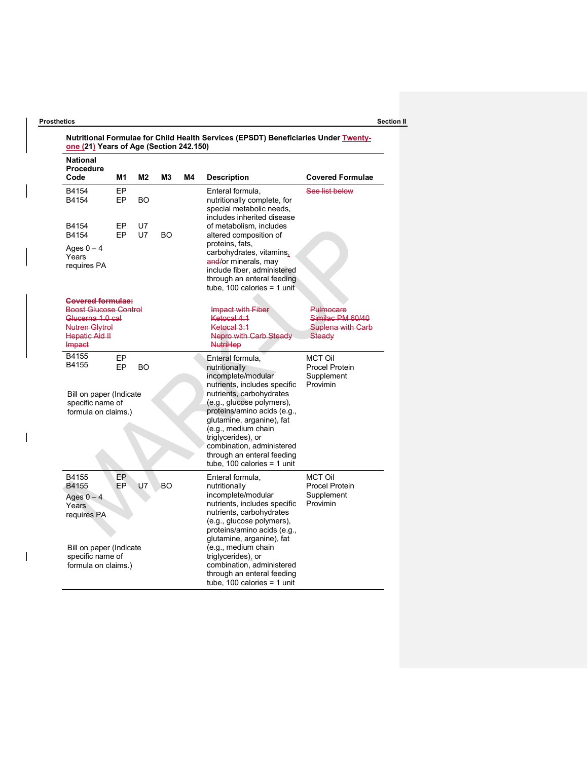$\overline{\phantom{a}}$ 

 $\begin{array}{c} \hline \end{array}$ 

 $\begin{array}{c} \hline \end{array}$ 

| <b>National</b><br><b>Procedure</b><br>Code                                                                                              | M1              | M <sub>2</sub> | M <sub>3</sub> | M4 | <b>Description</b>                                                                                                                                                                                                                                                                                                                                  | <b>Covered Formulae</b>                                           |
|------------------------------------------------------------------------------------------------------------------------------------------|-----------------|----------------|----------------|----|-----------------------------------------------------------------------------------------------------------------------------------------------------------------------------------------------------------------------------------------------------------------------------------------------------------------------------------------------------|-------------------------------------------------------------------|
| B4154<br>B4154                                                                                                                           | EP<br>EP        | <b>BO</b>      |                |    | Enteral formula,<br>nutritionally complete, for<br>special metabolic needs,<br>includes inherited disease                                                                                                                                                                                                                                           | See list below                                                    |
| B4154<br>B4154<br>Ages $0 - 4$<br>Years<br>requires PA                                                                                   | EP<br>EP        | U7<br>U7       | <b>BO</b>      |    | of metabolism, includes<br>altered composition of<br>proteins, fats,<br>carbohydrates, vitamins,<br>and/or minerals, may<br>include fiber, administered<br>through an enteral feeding<br>tube, 100 calories = 1 unit                                                                                                                                |                                                                   |
| <b>Govered formulae:</b><br><b>Boost Glucose Control</b><br>Glucerna 1.0 cal<br><b>Nutren Givtrol</b><br><b>Hepatic Aid II</b><br>Impact |                 |                |                |    | Impact with Fiber<br>Ketocal 4:1<br>Ketocal 3:1<br>Nepro with Carb Steady<br><b>NutriHep</b>                                                                                                                                                                                                                                                        | Pulmocare<br>Similac PM 60/40<br>Suplena with Carb<br>Steady      |
| B4155<br>B4155<br>Bill on paper (Indicate<br>specific name of<br>formula on claims.)                                                     | EP<br><b>EP</b> | <b>BO</b>      |                |    | Enteral formula,<br>nutritionally<br>incomplete/modular<br>nutrients, includes specific<br>nutrients, carbohydrates<br>(e.g., glucose polymers),<br>proteins/amino acids (e.g.,<br>glutamine, arganine), fat<br>(e.g., medium chain<br>triglycerides), or<br>combination, administered<br>through an enteral feeding<br>tube, 100 calories = 1 unit | <b>MCT Oil</b><br>Procel Protein<br>Supplement<br>Provimin        |
| B4155<br>B4155<br>Ages $0 - 4$<br>Years<br>requires PA<br>Bill on paper (Indicate<br>specific name of<br>formula on claims.)             | EP<br>EP        | U7             | <b>BO</b>      |    | Enteral formula,<br>nutritionally<br>incomplete/modular<br>nutrients, includes specific<br>nutrients, carbohydrates<br>(e.g., glucose polymers),<br>proteins/amino acids (e.g.,<br>glutamine, arganine), fat<br>(e.g., medium chain<br>triglycerides), or<br>combination, administered<br>through an enteral feeding<br>tube, 100 calories = 1 unit | <b>MCT Oil</b><br><b>Procel Protein</b><br>Supplement<br>Provimin |

Nutritional Formulae for Child Health Services (EPSDT) Beneficiaries Under Twenty-

one (21) Years of Age (Section 242.150)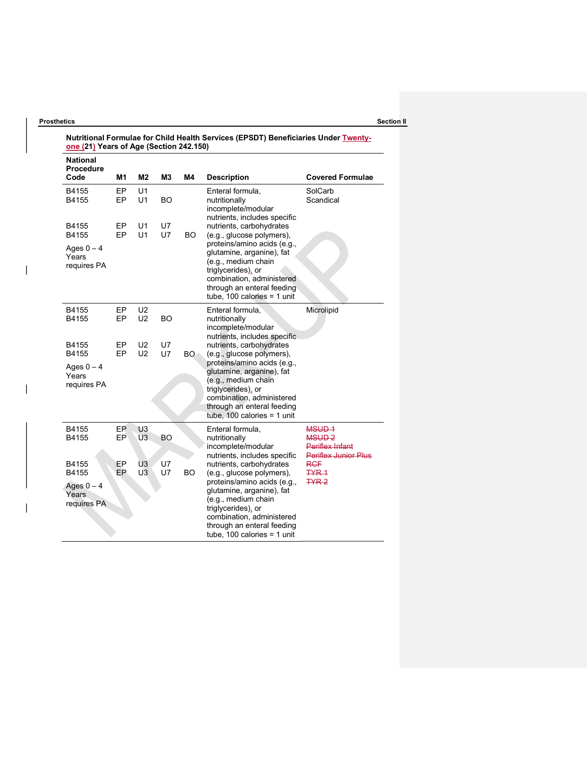$\overline{\phantom{a}}$ 

 $\begin{array}{c} \hline \end{array}$ 

 $\overline{1}$ 

| one (21) Years of Age (Section 242.150)<br><b>National</b> |                |                                  |                 |           |                                                                                                                                                                                                                                                          |                                                                                          |  |
|------------------------------------------------------------|----------------|----------------------------------|-----------------|-----------|----------------------------------------------------------------------------------------------------------------------------------------------------------------------------------------------------------------------------------------------------------|------------------------------------------------------------------------------------------|--|
| <b>Procedure</b><br>Code                                   | M <sub>1</sub> | M <sub>2</sub>                   | M <sub>3</sub>  | M4        | <b>Description</b>                                                                                                                                                                                                                                       | <b>Covered Formulae</b>                                                                  |  |
| B4155<br>B4155                                             | EP<br>EP       | U1<br>U1                         | <b>BO</b>       |           | Enteral formula,<br>nutritionally<br>incomplete/modular<br>nutrients, includes specific                                                                                                                                                                  | SolCarb<br>Scandical                                                                     |  |
| B4155<br>B4155                                             | EP<br>EP       | U1<br>U1                         | U7<br><b>U7</b> | <b>BO</b> | nutrients, carbohydrates<br>(e.g., glucose polymers),                                                                                                                                                                                                    |                                                                                          |  |
| Ages $0 - 4$<br>Years<br>requires PA                       |                |                                  |                 |           | proteins/amino acids (e.g.,<br>glutamine, arganine), fat<br>(e.g., medium chain<br>triglycerides), or<br>combination, administered<br>through an enteral feeding<br>tube, 100 calories = 1 unit                                                          |                                                                                          |  |
| B4155<br>B4155                                             | EP<br>EP       | U <sub>2</sub><br>U <sub>2</sub> | <b>BO</b>       |           | Enteral formula,<br>nutritionally<br>incomplete/modular<br>nutrients, includes specific                                                                                                                                                                  | Microlipid                                                                               |  |
| B4155<br>B4155<br>Ages $0 - 4$<br>Years<br>requires PA     | EP<br>EP       | U <sub>2</sub><br>U <sub>2</sub> | U7<br>U7        | BO.       | nutrients, carbohydrates<br>(e.g., glucose polymers),<br>proteins/amino acids (e.g.,<br>glutamine, arganine), fat<br>(e.g., medium chain<br>triglycerides), or<br>combination, administered<br>through an enteral feeding<br>tube, 100 calories = 1 unit |                                                                                          |  |
| B4155<br>B4155                                             | EP<br>EP       | U <sub>3</sub><br>U <sub>3</sub> | <b>BO</b>       |           | Enteral formula,<br>nutritionally<br>incomplete/modular<br>nutrients, includes specific                                                                                                                                                                  | MSUD <sub>1</sub><br>MSUD <sub>2</sub><br>Periflex Infant<br><b>Periflex Junior Plus</b> |  |
| B4155<br>B4155<br>Ages $0 - 4$<br>Years<br>requires PA     | EP<br>EP       | U <sub>3</sub><br>U <sub>3</sub> | U7<br>U7        | <b>BO</b> | nutrients, carbohydrates<br>(e.g., glucose polymers),<br>proteins/amino acids (e.g.,<br>glutamine, arganine), fat<br>(e.g., medium chain<br>triglycerides), or<br>combination, administered<br>through an enteral feeding<br>tube, 100 calories = 1 unit | <b>RGF</b><br>$+YR+$<br>TYR <sub>2</sub>                                                 |  |

Nutritional Formulae for Child Health Services (EPSDT) Beneficiaries Under Twenty-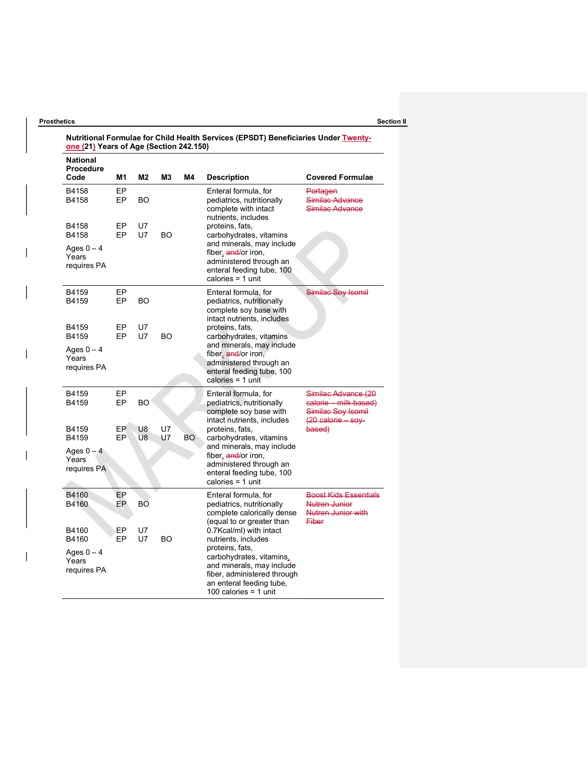$\overline{\phantom{a}}$ 

 $\overline{\phantom{a}}$ 

 $\overline{\phantom{a}}$ 

 $\overline{\phantom{a}}$ 

 $\overline{\phantom{a}}$ 

| National<br><b>Procedure</b><br>Code | M1       | M <sub>2</sub>                   | MЗ              | M4  | <b>Description</b>                                                                                                                                           | <b>Covered Formulae</b>                                                                                    |
|--------------------------------------|----------|----------------------------------|-----------------|-----|--------------------------------------------------------------------------------------------------------------------------------------------------------------|------------------------------------------------------------------------------------------------------------|
| B4158<br>B4158                       | EP<br>EP | <b>BO</b>                        |                 |     | Enteral formula, for<br>pediatrics, nutritionally<br>complete with intact<br>nutrients, includes                                                             | Portagen<br>Similac Advance<br>Similac Advance                                                             |
| B4158<br>B4158                       | EP<br>EP | U7<br>U7                         | BO              |     | proteins, fats,<br>carbohydrates, vitamins<br>and minerals, may include                                                                                      |                                                                                                            |
| Ages $0 - 4$<br>Years<br>requires PA |          |                                  |                 |     | fiber, and/or iron,<br>administered through an<br>enteral feeding tube, 100<br>calories $= 1$ unit                                                           |                                                                                                            |
| B4159<br>B4159                       | EP<br>EP | <b>BO</b>                        |                 |     | Enteral formula, for<br>pediatrics, nutritionally<br>complete soy base with                                                                                  | Similac Soy Isomil                                                                                         |
| B4159<br>B4159                       | EP<br>EP | U7<br>U7                         | <b>BO</b>       |     | intact nutrients, includes<br>proteins, fats,<br>carbohydrates, vitamins                                                                                     |                                                                                                            |
| Ages $0 - 4$<br>Years<br>requires PA |          |                                  |                 |     | and minerals, may include<br>fiber, and/or iron,<br>administered through an<br>enteral feeding tube, 100<br>calories = $1$ unit                              |                                                                                                            |
| B4159<br>B4159                       | EP<br>EP | <b>BO</b>                        |                 |     | Enteral formula, for<br>pediatrics, nutritionally<br>complete soy base with<br>intact nutrients, includes                                                    | Similac Advance (20<br>calorie - milk-based)<br>Similac Sov Isomil<br>$(20 \text{ calorie} - \text{sov} -$ |
| B4159<br>B4159                       | EP<br>EP | U <sub>8</sub><br>U <sub>8</sub> | <b>U7</b><br>U7 | BO. | proteins, fats,<br>carbohydrates, vitamins                                                                                                                   | based)                                                                                                     |
| Ages $0 - 4$<br>Years<br>requires PA |          |                                  |                 |     | and minerals, may include<br>fiber, and/or iron,<br>administered through an<br>enteral feeding tube, 100<br>calories $= 1$ unit                              |                                                                                                            |
| B4160<br>B4160                       | EP<br>EP | <b>BO</b>                        |                 |     | Enteral formula, for<br>pediatrics, nutritionally<br>complete calorically dense<br>(equal to or greater than                                                 | <b>Boost Kids Essentials</b><br><b>Nutren Junior</b><br>Nutren Junior with<br><b>Fiber</b>                 |
| B4160<br>B4160                       | EP<br>EP | U7<br>U7                         | BO              |     | 0.7Kcal/ml) with intact<br>nutrients, includes                                                                                                               |                                                                                                            |
| Ages $0 - 4$<br>Years<br>requires PA |          |                                  |                 |     | proteins, fats,<br>carbohydrates, vitamins,<br>and minerals, may include<br>fiber, administered through<br>an enteral feeding tube,<br>100 calories = 1 unit |                                                                                                            |

Nutritional Formulae for Child Health Services (EPSDT) Beneficiaries Under Twentyone (21) Years of Age (Section 242.150)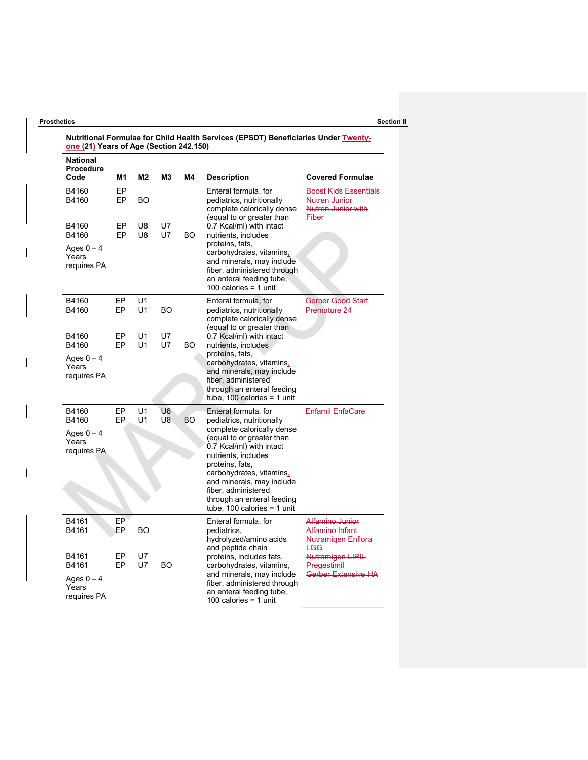$\overline{\phantom{a}}$ 

 $\overline{\phantom{a}}$ 

 $\Big\}$ 

 $\begin{array}{c} \hline \end{array}$ 

| National<br><b>Procedure</b><br>Code                   | M1       | M2                               | M3              | M4        | <b>Description</b>                                                                                                                                                                                                                                                         | <b>Covered Formulae</b>                                                             |
|--------------------------------------------------------|----------|----------------------------------|-----------------|-----------|----------------------------------------------------------------------------------------------------------------------------------------------------------------------------------------------------------------------------------------------------------------------------|-------------------------------------------------------------------------------------|
| B4160<br>B4160                                         | EP<br>EP | BO                               |                 |           | Enteral formula, for<br>pediatrics, nutritionally<br>complete calorically dense<br>(equal to or greater than                                                                                                                                                               | <b>Boost Kids Essentials</b><br>Nutren Junior<br>Nutren Junior with<br><b>Fiber</b> |
| B4160<br>B4160                                         | EP<br>EP | U <sub>8</sub><br>U <sub>8</sub> | U7<br>U7        | BO.       | 0.7 Kcal/ml) with intact<br>nutrients, includes<br>proteins, fats,                                                                                                                                                                                                         |                                                                                     |
| Ages $0 - 4$<br>Years<br>requires PA                   |          |                                  |                 |           | carbohydrates, vitamins,<br>and minerals, may include<br>fiber, administered through<br>an enteral feeding tube.<br>100 calories = $1$ unit                                                                                                                                |                                                                                     |
| B4160<br>B4160                                         | EP<br>EP | U1<br>U1                         | BO              |           | Enteral formula, for<br>pediatrics, nutritionally<br>complete calorically dense<br>(equal to or greater than                                                                                                                                                               | Gerber Good Start<br>Premature 24                                                   |
| B4160<br>B4160                                         | EP<br>EP | U1<br>U1                         | <b>U7</b><br>U7 | <b>BO</b> | 0.7 Kcal/ml) with intact<br>nutrients, includes                                                                                                                                                                                                                            |                                                                                     |
| Ages $0 - 4$<br>Years<br>requires PA                   |          |                                  |                 |           | proteins, fats,<br>carbohydrates, vitamins,<br>and minerals, may include<br>fiber, administered<br>through an enteral feeding<br>tube, $100$ calories = 1 unit                                                                                                             |                                                                                     |
| B4160<br>B4160                                         | EP<br>EP | U <sub>1</sub><br>U1             | U8<br>U8        | BO.       | Enteral formula, for<br>pediatrics, nutritionally                                                                                                                                                                                                                          | Enfamil EnfaCare                                                                    |
| Ages $0 - 4$<br>Years<br>requires PA                   |          |                                  |                 |           | complete calorically dense<br>(equal to or greater than<br>0.7 Kcal/ml) with intact<br>nutrients, includes<br>proteins, fats,<br>carbohydrates, vitamins,<br>and minerals, may include<br>fiber, administered<br>through an enteral feeding<br>tube, 100 calories = 1 unit |                                                                                     |
| B4161<br>B4161                                         | EP<br>EP | BO                               |                 |           | Enteral formula, for<br>pediatrics,<br>hydrolyzed/amino acids<br>and peptide chain                                                                                                                                                                                         | Alfamino Junior<br>Alfamino Infant<br>Nutramigen Enflora<br><b>LGG</b>              |
| B4161<br>B4161<br>Ages $0 - 4$<br>Years<br>requires PA | EP<br>EP | U7<br>U7                         | BO              |           | proteins, includes fats,<br>carbohydrates, vitamins,<br>and minerals, may include<br>fiber, administered through<br>an enteral feeding tube,<br>100 calories = $1$ unit                                                                                                    | Nutramigen LIPIL<br>Pregestimil<br>Gerber Extensive HA                              |

Nutritional Formulae for Child Health Services (EPSDT) Beneficiaries Under Twentyone (21) Years of Age (Section 242.150)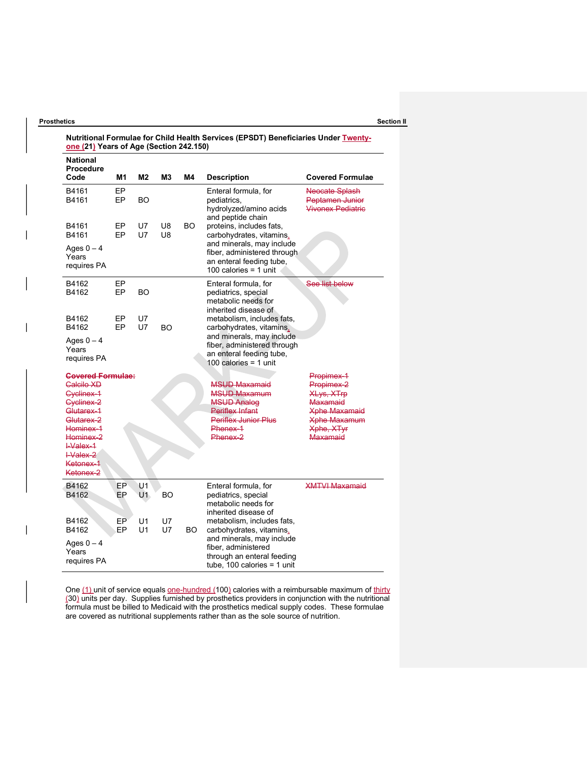| <b>Prosthetics</b> | <b>Section II</b> |  |
|--------------------|-------------------|--|
|--------------------|-------------------|--|

 $\overline{\phantom{a}}$ 

| <b>National</b><br><b>Procedure</b>                                                                                                                                                  |          |                                  |                |           |                                                                                                                                                    |                                                                                                                                           |
|--------------------------------------------------------------------------------------------------------------------------------------------------------------------------------------|----------|----------------------------------|----------------|-----------|----------------------------------------------------------------------------------------------------------------------------------------------------|-------------------------------------------------------------------------------------------------------------------------------------------|
| Code                                                                                                                                                                                 | M1       | M <sub>2</sub>                   | M <sub>3</sub> | M4        | <b>Description</b>                                                                                                                                 | <b>Covered Formulae</b>                                                                                                                   |
| B4161<br>B4161                                                                                                                                                                       | EP<br>EP | <b>BO</b>                        |                |           | Enteral formula, for<br>pediatrics,<br>hydrolyzed/amino acids<br>and peptide chain                                                                 | <b>Neocate Splash</b><br>Peptamen Junier<br><b>Vivonex Pediatrie</b>                                                                      |
| B4161<br>B4161                                                                                                                                                                       | EP<br>EP | U7<br><b>U7</b>                  | U8<br>U8       | <b>BO</b> | proteins, includes fats,<br>carbohydrates, vitamins,                                                                                               |                                                                                                                                           |
| Ages $0 - 4$<br>Years<br>requires PA                                                                                                                                                 |          |                                  |                |           | and minerals, may include<br>fiber, administered through<br>an enteral feeding tube,<br>100 calories = 1 unit                                      |                                                                                                                                           |
| B4162<br>B4162                                                                                                                                                                       | EP<br>EP | <b>BO</b>                        |                |           | Enteral formula, for<br>pediatrics, special<br>metabolic needs for<br>inherited disease of                                                         | See list below                                                                                                                            |
| B4162<br>B4162                                                                                                                                                                       | EР<br>EP | U7<br>U7                         | <b>BO</b>      |           | metabolism, includes fats,<br>carbohydrates, vitamins,                                                                                             |                                                                                                                                           |
| Ages $0 - 4$<br>Years<br>requires PA                                                                                                                                                 |          |                                  |                |           | and minerals, may include<br>fiber, administered through<br>an enteral feeding tube,<br>100 calories = $1$ unit                                    |                                                                                                                                           |
| <b>Covered Formulae:</b><br>Calcilo XD<br>Cyclinex-1<br>Cyclinex-2<br>Glutarex-1<br>Glutarex-2<br>Hominex-1<br>Hominex-2<br>$\frac{1}{4}$<br>$\frac{1}{2}$<br>Ketonex-1<br>Ketonex-2 |          |                                  |                |           | <b>MSUD Maxamaid</b><br><b>MSUD Maxamum</b><br><b>MSUD Analog</b><br><b>Periflex Infant</b><br><b>Periflex Junior Plus</b><br>Phenex-1<br>Phenex-2 | Propimex-1<br>Propimex-2<br><b>XLys, XTrp</b><br>Maxamaid<br><b>Xphe Maxamaid</b><br><b>Xphe Maxamum</b><br>Xphe. XTvr<br><b>Maxamaid</b> |
| B4162<br>B4162                                                                                                                                                                       | EP<br>EP | U1<br>U1                         | <b>BO</b>      |           | Enteral formula, for<br>pediatrics, special<br>metabolic needs for<br>inherited disease of                                                         | <b>XMTVI Maxamaid</b>                                                                                                                     |
| B4162<br>B4162                                                                                                                                                                       | EP<br>EP | U <sub>1</sub><br>U <sub>1</sub> | U7<br>U7       | BO.       | metabolism, includes fats,<br>carbohydrates, vitamins,<br>and minerals, may include                                                                |                                                                                                                                           |
| Ages $0 - 4$<br>Years<br>requires PA                                                                                                                                                 |          |                                  |                |           | fiber, administered<br>through an enteral feeding<br>tube, 100 calories = 1 unit                                                                   |                                                                                                                                           |

Nutritional Formulae for Child Health Services (EPSDT) Beneficiaries Under Twentyone (21) Years of Age (Section 242.150)

One (1) unit of service equals one-hundred (100) calories with a reimbursable maximum of thirty (30) units per day. Supplies furnished by prosthetics providers in conjunction with the nutritional formula must be billed to Medicaid with the prosthetics medical supply codes. These formulae are covered as nutritional supplements rather than as the sole source of nutrition.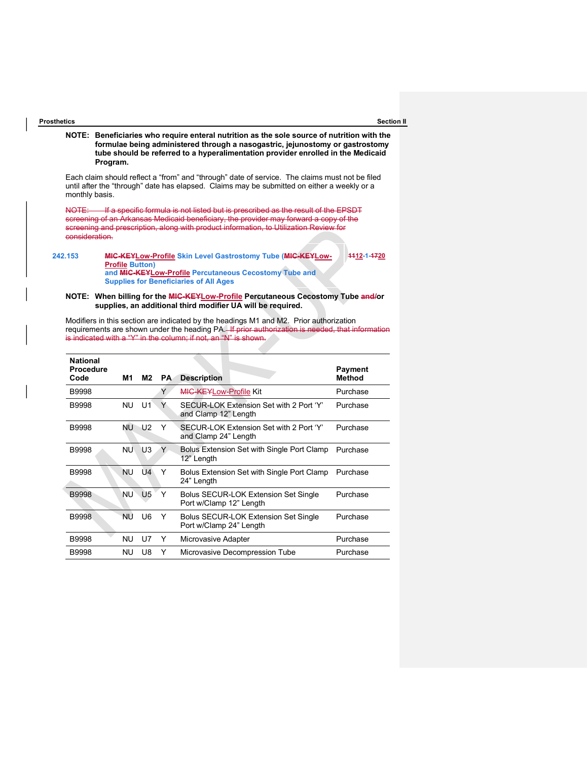| <b>Prosthetics</b> |                                                                                                                                                                                                                                                                                                       | <b>Section II</b> |  |  |  |  |  |
|--------------------|-------------------------------------------------------------------------------------------------------------------------------------------------------------------------------------------------------------------------------------------------------------------------------------------------------|-------------------|--|--|--|--|--|
|                    | NOTE: Beneficiaries who require enteral nutrition as the sole source of nutrition with the<br>formulae being administered through a nasogastric, jejunostomy or gastrostomy<br>tube should be referred to a hyperalimentation provider enrolled in the Medicaid<br>Program.                           |                   |  |  |  |  |  |
|                    | Each claim should reflect a "from" and "through" date of service. The claims must not be filed<br>until after the "through" date has elapsed. Claims may be submitted on either a weekly or a<br>monthly basis.                                                                                       |                   |  |  |  |  |  |
| NOTE:              | <u>If a specific formula is not listed but is prescribed as the result of the EPSDT</u><br>screening of an Arkansas Medicaid beneficiary, the provider may forward a copy of the<br>screening and prescription, along with product information, to Utilization Review for<br><del>consideration</del> |                   |  |  |  |  |  |
| 242.153            | <b>MIC-KEYLow-Profile Skin Level Gastrostomy Tube (MIC-KEYLow-</b><br>4412-1-4720<br><b>Profile Button)</b><br>and MIC-KEYLow-Profile Percutaneous Cecostomy Tube and                                                                                                                                 |                   |  |  |  |  |  |

Supplies for Beneficiaries of All Ages

## NOTE: When billing for the MIC-KEYLow-Profile Percutaneous Cecostomy Tube and/or supplies, an additional third modifier UA will be required.

Modifiers in this section are indicated by the headings M1 and M2. Prior authorization requirements are shown under the heading PA.–I<del>f prior authorization is needed, that information</del> is indicated with a "Y" in the column; if not, an "N" is shown.

| <b>National</b><br><b>Procedure</b> |           |                |           |                                                                        | Payment       |
|-------------------------------------|-----------|----------------|-----------|------------------------------------------------------------------------|---------------|
| Code                                | M1        | M2             | <b>PA</b> | <b>Description</b>                                                     | <b>Method</b> |
| <b>B9998</b>                        |           |                |           | <b>MIC-KEYLow-Profile Kit</b>                                          | Purchase      |
| <b>B9998</b>                        | <b>NU</b> | U1             | Y.        | SECUR-LOK Extension Set with 2 Port 'Y'<br>and Clamp 12" Length        | Purchase      |
| <b>B9998</b>                        | NU.       | U <sub>2</sub> | Υ         | SECUR-LOK Extension Set with 2 Port 'Y'<br>and Clamp 24" Length        | Purchase      |
| <b>B9998</b>                        | NU.       | U3             |           | Bolus Extension Set with Single Port Clamp<br>12" Length               | Purchase      |
| <b>B9998</b>                        | NU        | U4             | Υ         | Bolus Extension Set with Single Port Clamp<br>24" Length               | Purchase      |
| <b>B9998</b>                        | NU.       | U <sub>5</sub> | Υ         | <b>Bolus SECUR-LOK Extension Set Single</b><br>Port w/Clamp 12" Length | Purchase      |
| B9998                               | ΝU        | U6             | Υ         | <b>Bolus SECUR-LOK Extension Set Single</b><br>Port w/Clamp 24" Length | Purchase      |
| <b>B9998</b>                        | NU        | U7             | Y         | Microvasive Adapter                                                    | Purchase      |
| <b>B9998</b>                        | NU        | U8             | Y         | Microvasive Decompression Tube                                         | Purchase      |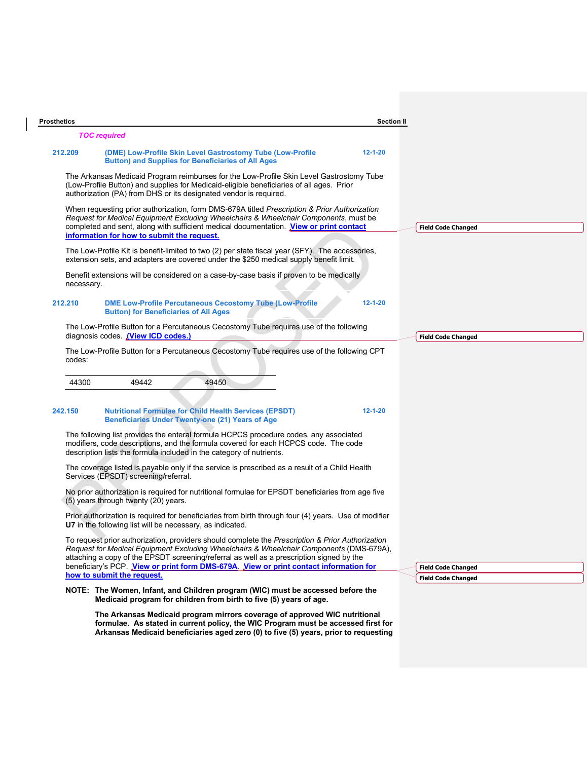| <b>Prosthetics</b>                                                                                                                                                                                                                                                                                                                      | <b>Section II</b>         |
|-----------------------------------------------------------------------------------------------------------------------------------------------------------------------------------------------------------------------------------------------------------------------------------------------------------------------------------------|---------------------------|
| <b>TOC required</b>                                                                                                                                                                                                                                                                                                                     |                           |
| $12 - 1 - 20$<br>212.209<br>(DME) Low-Profile Skin Level Gastrostomy Tube (Low-Profile<br><b>Button) and Supplies for Beneficiaries of All Ages</b>                                                                                                                                                                                     |                           |
| The Arkansas Medicaid Program reimburses for the Low-Profile Skin Level Gastrostomy Tube<br>(Low-Profile Button) and supplies for Medicaid-eligible beneficiaries of all ages. Prior<br>authorization (PA) from DHS or its designated vendor is required.                                                                               |                           |
| When requesting prior authorization, form DMS-679A titled <i>Prescription &amp; Prior Authorization</i><br>Request for Medical Equipment Excluding Wheelchairs & Wheelchair Components, must be<br>completed and sent, along with sufficient medical documentation. View or print contact<br>information for how to submit the request. | <b>Field Code Changed</b> |
| The Low-Profile Kit is benefit-limited to two (2) per state fiscal year (SFY). The accessories,<br>extension sets, and adapters are covered under the \$250 medical supply benefit limit.                                                                                                                                               |                           |
| Benefit extensions will be considered on a case-by-case basis if proven to be medically<br>necessary.                                                                                                                                                                                                                                   |                           |
| $12 - 1 - 20$<br>212.210<br><b>DME Low-Profile Percutaneous Cecostomy Tube (Low-Profile</b><br><b>Button) for Beneficiaries of All Ages</b>                                                                                                                                                                                             |                           |
| The Low-Profile Button for a Percutaneous Cecostomy Tube requires use of the following<br>diagnosis codes. (View ICD codes.)                                                                                                                                                                                                            | <b>Field Code Changed</b> |
| The Low-Profile Button for a Percutaneous Cecostomy Tube requires use of the following CPT<br>codes:                                                                                                                                                                                                                                    |                           |
| 49450<br>44300<br>49442                                                                                                                                                                                                                                                                                                                 |                           |
| $12 - 1 - 20$<br>242.150<br><b>Nutritional Formulae for Child Health Services (EPSDT)</b><br>Beneficiaries Under Twenty-one (21) Years of Age                                                                                                                                                                                           |                           |
| The following list provides the enteral formula HCPCS procedure codes, any associated<br>modifiers, code descriptions, and the formula covered for each HCPCS code. The code<br>description lists the formula included in the category of nutrients.                                                                                    |                           |
| The coverage listed is payable only if the service is prescribed as a result of a Child Health<br>Services (EPSDT) screening/referral.                                                                                                                                                                                                  |                           |
| No prior authorization is required for nutritional formulae for EPSDT beneficiaries from age five<br>(5) years through twenty (20) years.                                                                                                                                                                                               |                           |
| Prior authorization is required for beneficiaries from birth through four (4) years. Use of modifier<br>U7 in the following list will be necessary, as indicated.                                                                                                                                                                       |                           |
| To request prior authorization, providers should complete the <i>Prescription &amp; Prior Authorization</i><br>Request for Medical Equipment Excluding Wheelchairs & Wheelchair Components (DMS-679A),<br>attaching a copy of the EPSDT screening/referral as well as a prescription signed by the                                      |                           |
| beneficiary's PCP. View or print form DMS-679A View or print contact information for<br>how to submit the request.                                                                                                                                                                                                                      | <b>Field Code Changed</b> |
| NOTE: The Women, Infant, and Children program (WIC) must be accessed before the<br>Medicaid program for children from birth to five (5) years of age.<br>The Arkansas Medicaid program mirrors coverage of approved WIC nutritional<br>formulae. As stated in current policy, the WIC Program must be accessed first for                | <b>Field Code Changed</b> |
| Arkansas Medicaid beneficiaries aged zero (0) to five (5) years prior to requesting                                                                                                                                                                                                                                                     |                           |

Arkansas Medicaid beneficiaries aged zero (0) to five (5) years, prior to requesting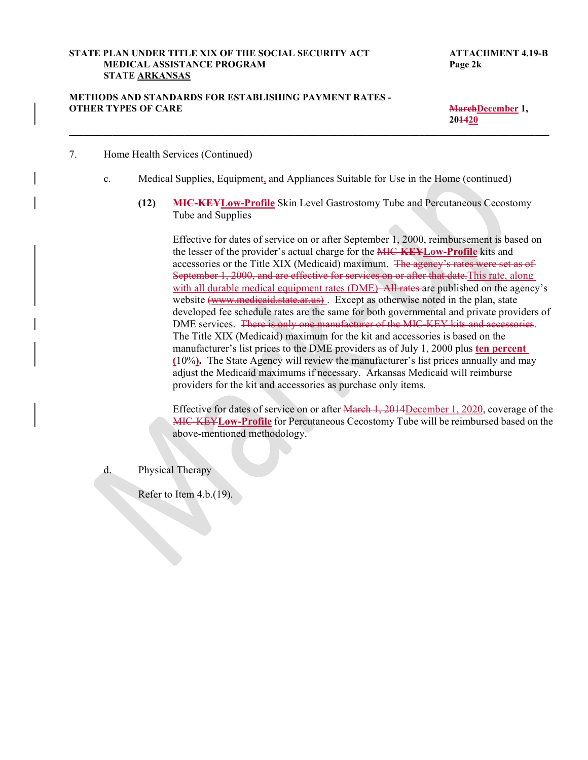#### STATE PLAN UNDER TITLE XIX OF THE SOCIAL SECURITY ACT ATTACHMENT 4.19-B MEDICAL ASSISTANCE PROGRAM Page 2k STATE ARKANSAS

#### METHODS AND STANDARDS FOR ESTABLISHING PAYMENT RATES - **OTHER TYPES OF CARE** March 2008 **MarchDecember 1, MarchDecember 1, MarchDecember 1, March**

201420  $\mathcal{L}_\mathcal{L} = \mathcal{L}_\mathcal{L} = \mathcal{L}_\mathcal{L} = \mathcal{L}_\mathcal{L} = \mathcal{L}_\mathcal{L} = \mathcal{L}_\mathcal{L} = \mathcal{L}_\mathcal{L} = \mathcal{L}_\mathcal{L} = \mathcal{L}_\mathcal{L} = \mathcal{L}_\mathcal{L} = \mathcal{L}_\mathcal{L} = \mathcal{L}_\mathcal{L} = \mathcal{L}_\mathcal{L} = \mathcal{L}_\mathcal{L} = \mathcal{L}_\mathcal{L} = \mathcal{L}_\mathcal{L} = \mathcal{L}_\mathcal{L}$ 

- 7. Home Health Services (Continued)
	- c. Medical Supplies, Equipment, and Appliances Suitable for Use in the Home (continued)
		- (12) MIC-KEYLow-Profile Skin Level Gastrostomy Tube and Percutaneous Cecostomy Tube and Supplies

Effective for dates of service on or after September 1, 2000, reimbursement is based on the lesser of the provider's actual charge for the MIC-KEYLow-Profile kits and accessories or the Title XIX (Medicaid) maximum. The agency's rates were set as of September 1, 2000, and are effective for services on or after that date. This rate, along with all durable medical equipment rates (DME)–All rates are published on the agency's website (www.medicaid.state.ar.us). Except as otherwise noted in the plan, state developed fee schedule rates are the same for both governmental and private providers of DME services. There is only one manufacturer of the MIC-KEY kits and accessories.<br>The Title XIX (Medicaid) maximum for the kit and accessories is based on the manufacturer's list prices to the DME providers as of July 1, 2000 plus ten percent (10%). The State Agency will review the manufacturer's list prices annually and may adjust the Medicaid maximums if necessary. Arkansas Medicaid will reimburse providers for the kit and accessories as purchase only items. the lesser of the provider's actual charge for the MIC-KEYLow-Profile ki<br>accessories or the Title XIX (Medicial) maximum. The esgeny-s-rates were<br>September 1, 2000, and are effective for services on or after that date. Th

Effective for dates of service on or after March 1, 2014December 1, 2020, coverage of the MIC-KEYLow-Profile for Percutaneous Cecostomy Tube will be reimbursed based on the above-mentioned methodology.

d. Physical Therapy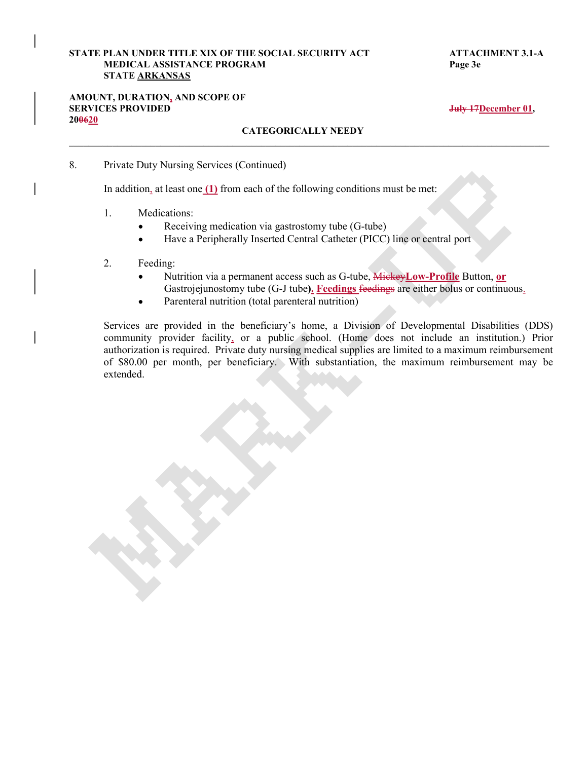# STATE PLAN UNDER TITLE XIX OF THE SOCIAL SECURITY ACT ATTACHMENT 3.1-A MEDICAL ASSISTANCE PROGRAM Page 3e STATE ARKANSAS STATE PLAN UNDER TITLE XIX OF THE SOCIAL SECURITY ACT<br>
MEDICAL ASSISTANCE PROGRAM<br>
STATE <u>ARKANSAS</u><br>
STATE ARKANSAS<br>
SERVICES PROVIDED<br>
CATEGORICALLY NEEDY<br>
DOG20<br>
CATEGORICALLY NEEDY<br>
DOG20<br>
In addition, at least one <u>(1)</u>

# AMOUNT, DURATION, AND SCOPE OF

In addition, at least one  $(1)$  from each of the following conditions must be met:

- 1. Medications:
	- Receiving medication via gastrostomy tube (G-tube)
	- Have a Peripherally Inserted Central Catheter (PICC) line or central port

#### 2. Feeding:

- Nutrition via a permanent access such as G-tube, MickeyLow-Profile Button, or  $\bullet$ Gastrojejunostomy tube (G-J tube). Feedings feedings are either bolus or continuous.
- Parenteral nutrition (total parenteral nutrition)  $\bullet$

Services are provided in the beneficiary's home, a Division of Developmental Disabilities (DDS) community provider facility, or a public school. (Home does not include an institution.) Prior authorization is required. Private duty nursing medical supplies are limited to a maximum reimbursement of \$80.00 per month, per beneficiary. With substantiation, the maximum reimbursement may be extended.